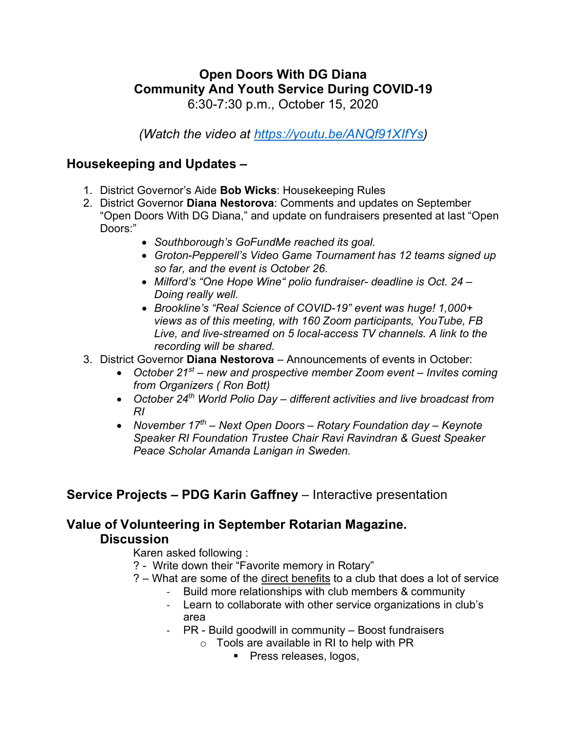# **Open Doors With DG Diana Community And Youth Service During COVID-19**

6:30-7:30 p.m., October 15, 2020

*(Watch the video at [https://youtu.be/ANQf91XIfYs\)](https://youtu.be/ANQf91XIfYs)*

### **Housekeeping and Updates –**

- 1. District Governor's Aide **Bob Wicks**: Housekeeping Rules
- 2. District Governor **Diana Nestorova**: Comments and updates on September "Open Doors With DG Diana," and update on fundraisers presented at last "Open Doors:"
	- *Southborough's GoFundMe reached its goal.*
	- *Groton-Pepperell's Video Game Tournament has 12 teams signed up so far, and the event is October 26.*
	- *Milford's "One Hope Wine" polio fundraiser- deadline is Oct. 24 – Doing really well.*
	- *Brookline's "Real Science of COVID-19" event was huge! 1,000+ views as of this meeting, with 160 Zoom participants, YouTube, FB Live, and live-streamed on 5 local-access TV channels. A link to the recording will be shared.*
- 3. District Governor **Diana Nestorova** Announcements of events in October:
	- *October 21st – new and prospective member Zoom event – Invites coming from Organizers ( Ron Bott)*
	- *October 24th World Polio Day – different activities and live broadcast from RI*
	- *November 17th – Next Open Doors – Rotary Foundation day – Keynote Speaker RI Foundation Trustee Chair Ravi Ravindran & Guest Speaker Peace Scholar Amanda Lanigan in Sweden.*

### **Service Projects – PDG Karin Gaffney** – Interactive presentation

#### **Value of Volunteering in September Rotarian Magazine. Discussion**

Karen asked following :

- ? Write down their "Favorite memory in Rotary"
- ? What are some of the direct benefits to a club that does a lot of service
	- Build more relationships with club members & community
	- Learn to collaborate with other service organizations in club's area
	- PR Build goodwill in community Boost fundraisers
		- $\circ$  Tools are available in RI to help with PR
			- **Press releases, logos,**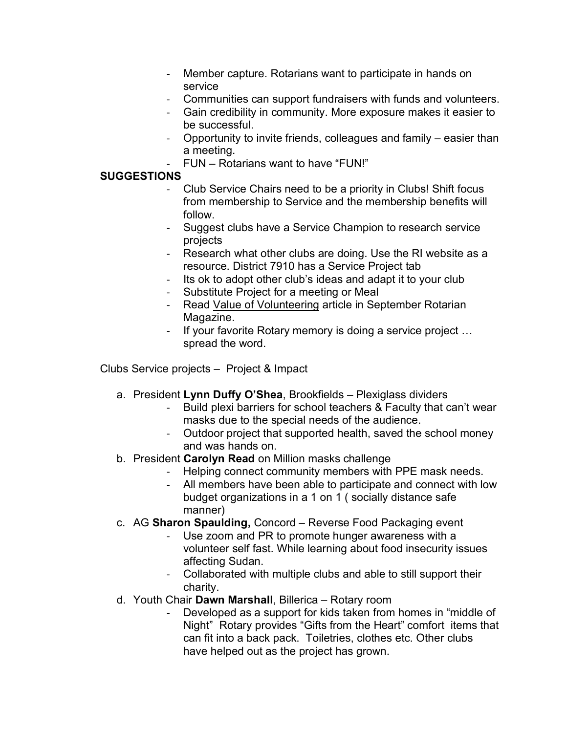- Member capture. Rotarians want to participate in hands on service
- Communities can support fundraisers with funds and volunteers.
- Gain credibility in community. More exposure makes it easier to be successful.
- Opportunity to invite friends, colleagues and family easier than a meeting.
- FUN Rotarians want to have "FUN!"

#### **SUGGESTIONS**

- Club Service Chairs need to be a priority in Clubs! Shift focus from membership to Service and the membership benefits will follow.
- Suggest clubs have a Service Champion to research service projects
- Research what other clubs are doing. Use the RI website as a resource. District 7910 has a Service Project tab
- Its ok to adopt other club's ideas and adapt it to your club
- Substitute Project for a meeting or Meal
- Read Value of Volunteering article in September Rotarian Magazine.
- If your favorite Rotary memory is doing a service project ... spread the word.

Clubs Service projects – Project & Impact

- a. President **Lynn Duffy O'Shea**, Brookfields Plexiglass dividers
	- Build plexi barriers for school teachers & Faculty that can't wear masks due to the special needs of the audience.
	- Outdoor project that supported health, saved the school money and was hands on.
- b. President **Carolyn Read** on Million masks challenge
	- Helping connect community members with PPE mask needs.
	- All members have been able to participate and connect with low budget organizations in a 1 on 1 ( socially distance safe manner)
- c. AG **Sharon Spaulding,** Concord Reverse Food Packaging event
	- Use zoom and PR to promote hunger awareness with a volunteer self fast. While learning about food insecurity issues affecting Sudan.
	- Collaborated with multiple clubs and able to still support their charity.
- d. Youth Chair **Dawn Marshall**, Billerica Rotary room
	- Developed as a support for kids taken from homes in "middle of Night" Rotary provides "Gifts from the Heart" comfort items that can fit into a back pack. Toiletries, clothes etc. Other clubs have helped out as the project has grown.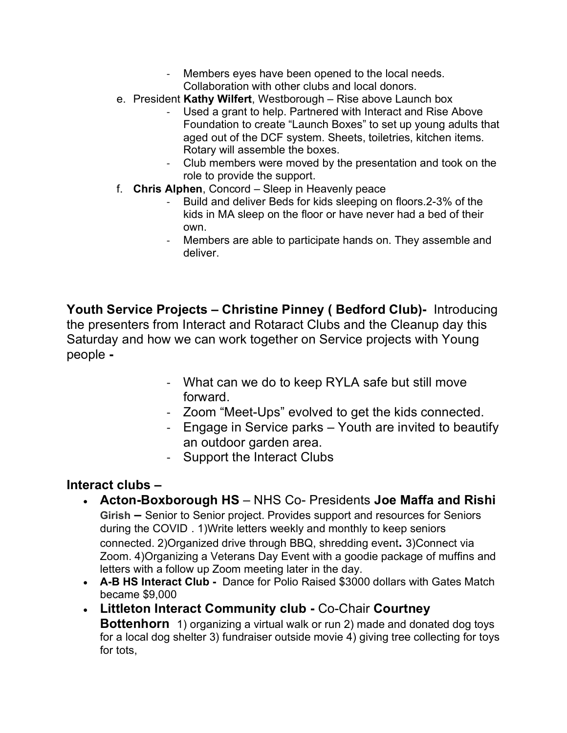- Members eyes have been opened to the local needs. Collaboration with other clubs and local donors.
- e. President **Kathy Wilfert**, Westborough Rise above Launch box
	- Used a grant to help. Partnered with Interact and Rise Above Foundation to create "Launch Boxes" to set up young adults that aged out of the DCF system. Sheets, toiletries, kitchen items. Rotary will assemble the boxes.
	- Club members were moved by the presentation and took on the role to provide the support.
- f. **Chris Alphen**, Concord Sleep in Heavenly peace
	- Build and deliver Beds for kids sleeping on floors. 2-3% of the kids in MA sleep on the floor or have never had a bed of their own.
	- Members are able to participate hands on. They assemble and deliver.

**Youth Service Projects – Christine Pinney ( Bedford Club)-** Introducing the presenters from Interact and Rotaract Clubs and the Cleanup day this Saturday and how we can work together on Service projects with Young people **-**

- What can we do to keep RYLA safe but still move forward.
- Zoom "Meet-Ups" evolved to get the kids connected.
- Engage in Service parks Youth are invited to beautify an outdoor garden area.
- Support the Interact Clubs

## **Interact clubs –**

- **Acton-Boxborough HS** NHS Co- Presidents **Joe Maffa and Rishi Girish –** Senior to Senior project. Provides support and resources for Seniors during the COVID . 1)Write letters weekly and monthly to keep seniors connected. 2)Organized drive through BBQ, shredding event**.** 3)Connect via Zoom. 4)Organizing a Veterans Day Event with a goodie package of muffins and letters with a follow up Zoom meeting later in the day.
- **A-B HS Interact Club** Dance for Polio Raised \$3000 dollars with Gates Match became \$9,000
- **Littleton Interact Community club -** Co-Chair **Courtney Bottenhorn** 1) organizing a virtual walk or run 2) made and donated dog toys for a local dog shelter 3) fundraiser outside movie 4) giving tree collecting for toys for tots,